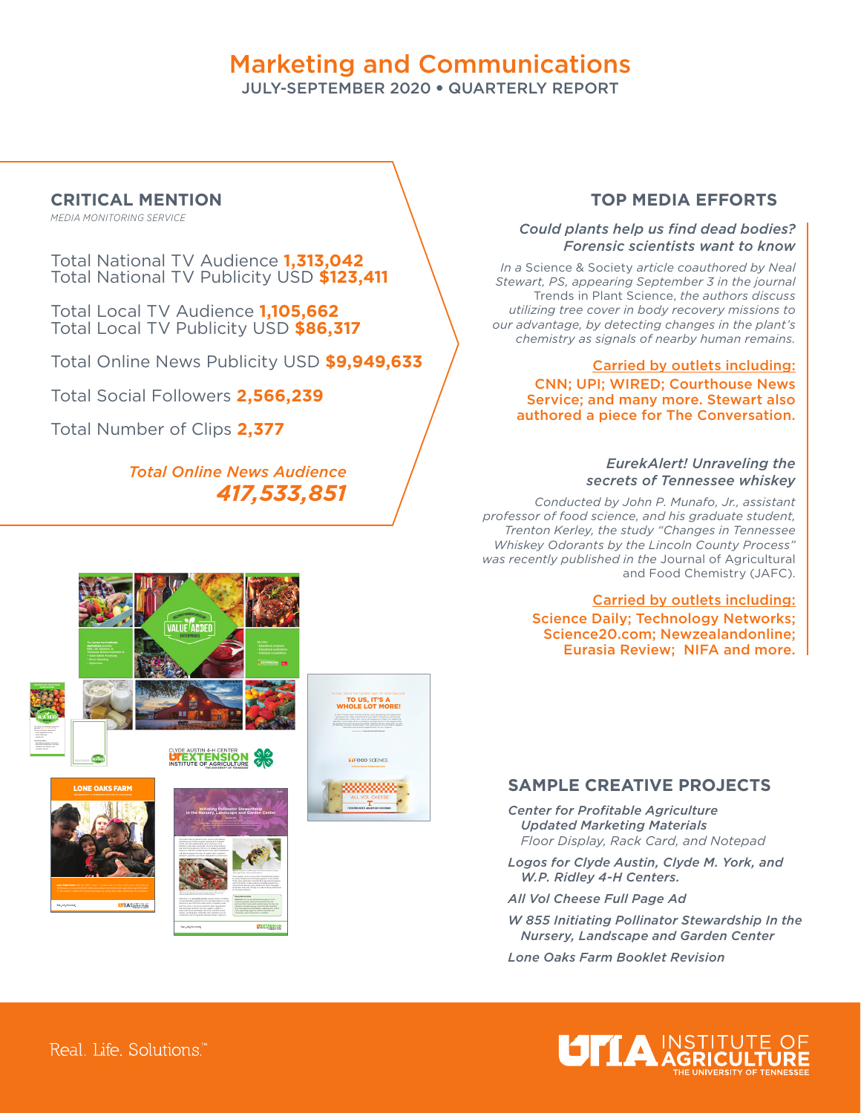# Marketing and Communications

JULY-SEPTEMBER 2020 • QUARTERLY REPORT

## **CRITICAL MENTION**

*MEDIA MONITORING SERVICE*

Total National TV Audience **1,313,042**  Total National TV Publicity USD **\$123,411**

Total Local TV Audience **1,105,662**  Total Local TV Publicity USD **\$86,317**

Total Online News Publicity USD **\$9,949,633** 

Total Social Followers **2,566,239**

Total Number of Clips **2,377**

## *Total Online News Audience 417,533,851*

### **TOP MEDIA EFFORTS**

#### *Could plants help us find dead bodies? Forensic scientists want to know*

*In a* Science & Society *article coauthored by Neal Stewart, PS, appearing September 3 in the journal*  Trends in Plant Science, *the authors discuss utilizing tree cover in body recovery missions to our advantage, by detecting changes in the plant's chemistry as signals of nearby human remains.*

#### Carried by outlets including:

CNN; UPI; WIRED; Courthouse News Service; and many more. Stewart also authored a piece for The Conversation.

#### *EurekAlert! Unraveling the secrets of Tennessee whiskey*

*Conducted by John P. Munafo, Jr., assistant professor of food science, and his graduate student, Trenton Kerley, the study "Changes in Tennessee Whiskey Odorants by the Lincoln County Process" was recently published in the* Journal of Agricultural and Food Chemistry (JAFC).

#### Carried by outlets including:

Science Daily; Technology Networks; Science20.com; Newzealandonline; Eurasia Review; NIFA and more.



yield every year. Pollination allows plants to produce seeds. species, including bees, butterflies, bats and birds, can act as pollinators by moving pollen between flowers (Figure 2). safe practices during nursery production and in managed

**PEXTENSION** 

#### **SAMPLE CREATIVE PROJECTS**

*Center for Profitable Agriculture Updated Marketing Materials Floor Display, Rack Card, and Notepad* 

*Logos for Clyde Austin, Clyde M. York, and W.P. Ridley 4-H Centers.*

*All Vol Cheese Full Page Ad* 

*W 855 Initiating Pollinator Stewardship In the Nursery, Landscape and Garden Center*

*Lone Oaks Farm Booklet Revision*



Real, Life, Solutions."

UTTASSEN